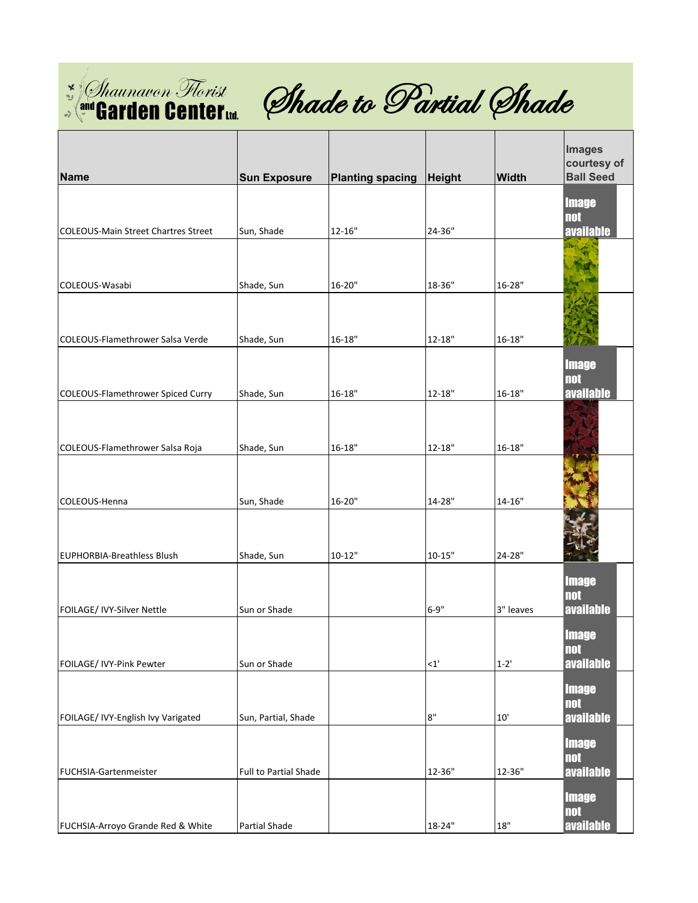



| <b>Name</b>                         | <b>Sun Exposure</b>   | <b>Planting spacing</b> | Height         | Width      | <b>Images</b><br>courtesy of<br><b>Ball Seed</b> |
|-------------------------------------|-----------------------|-------------------------|----------------|------------|--------------------------------------------------|
|                                     |                       |                         |                |            | <b>Image</b>                                     |
| COLEOUS-Main Street Chartres Street | Sun, Shade            | 12-16"                  | 24-36"         |            | <b>not</b><br>available                          |
|                                     |                       |                         |                |            |                                                  |
| COLEOUS-Wasabi                      | Shade, Sun            | 16-20"                  | 18-36"         | 16-28"     |                                                  |
|                                     |                       |                         |                |            |                                                  |
|                                     |                       |                         |                |            |                                                  |
| COLEOUS-Flamethrower Salsa Verde    | Shade, Sun            | $16 - 18"$              | $12 - 18"$     | $16 - 18"$ |                                                  |
|                                     |                       |                         |                |            | <b>Image</b><br><b>not</b>                       |
| COLEOUS-Flamethrower Spiced Curry   | Shade, Sun            | $16 - 18"$              | $12 - 18"$     | $16 - 18"$ | available                                        |
|                                     |                       |                         |                |            |                                                  |
| COLEOUS-Flamethrower Salsa Roja     | Shade, Sun            | $16 - 18"$              | $12 - 18"$     | $16 - 18"$ |                                                  |
|                                     |                       |                         |                |            |                                                  |
| COLEOUS-Henna                       | Sun, Shade            | 16-20"                  | 14-28"         | $14 - 16"$ |                                                  |
|                                     |                       |                         |                |            |                                                  |
|                                     |                       |                         |                |            |                                                  |
| <b>EUPHORBIA-Breathless Blush</b>   | Shade, Sun            | $10 - 12"$              | $10 - 15"$     | 24-28"     |                                                  |
|                                     |                       |                         |                |            | <b>Image</b><br><b>not</b>                       |
| FOILAGE/ IVY-Silver Nettle          | Sun or Shade          |                         | $6 - 9"$       | 3" leaves  | available                                        |
|                                     |                       |                         |                |            | <b>Image</b>                                     |
| FOILAGE/ IVY-Pink Pewter            | Sun or Shade          |                         | <1'            | $1 - 2'$   | $\mathbf{not}$<br>available                      |
|                                     |                       |                         |                |            | <b>Image</b>                                     |
| FOILAGE/ IVY-English Ivy Varigated  | Sun, Partial, Shade   |                         | $8\mathrm{''}$ | 10'        | <b>not</b><br><b>available</b>                   |
|                                     |                       |                         |                |            | <b>Image</b>                                     |
|                                     |                       |                         |                |            | <b>not</b>                                       |
| FUCHSIA-Gartenmeister               | Full to Partial Shade |                         | 12-36"         | 12-36"     | <b>available</b>                                 |
|                                     |                       |                         |                |            | <b>Image</b><br><b>not</b>                       |
| FUCHSIA-Arroyo Grande Red & White   | Partial Shade         |                         | 18-24"         | $18"$      | available                                        |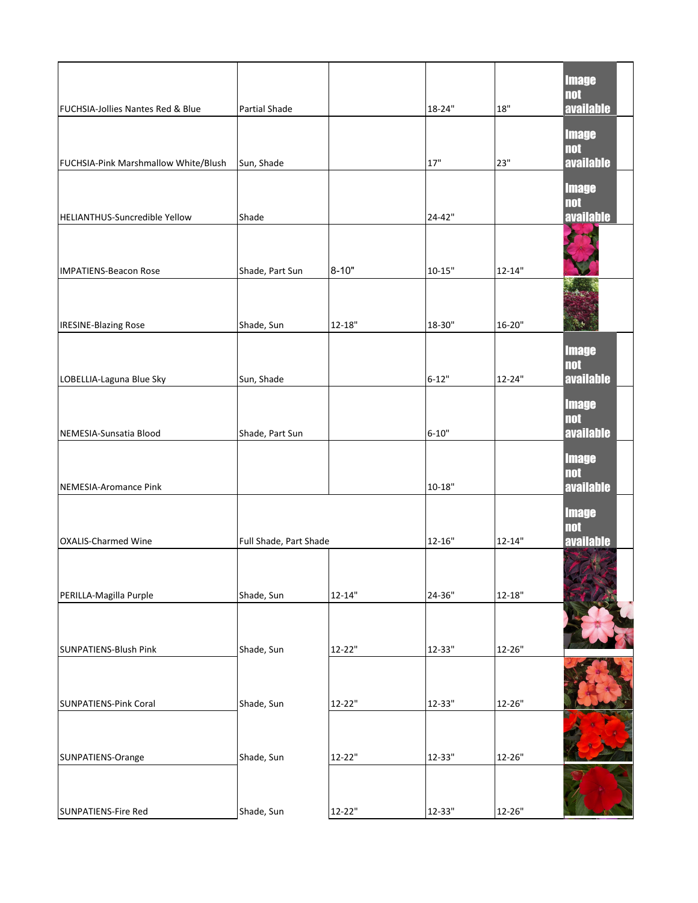| <b>FUCHSIA-Jollies Nantes Red &amp; Blue</b> | <b>Partial Shade</b>   |            | 18-24"     | 18"        | <b>Image</b><br><b>not</b><br>available        |
|----------------------------------------------|------------------------|------------|------------|------------|------------------------------------------------|
| FUCHSIA-Pink Marshmallow White/Blush         | Sun, Shade             |            | 17"        | 23"        | <b>Image</b><br><b>not</b><br>available        |
| HELIANTHUS-Suncredible Yellow                | Shade                  |            | 24-42"     |            | <b>Image</b><br><b>not</b><br><b>available</b> |
| <b>IMPATIENS-Beacon Rose</b>                 | Shade, Part Sun        | $8 - 10"$  | $10 - 15"$ | $12 - 14"$ |                                                |
|                                              |                        |            |            |            |                                                |
| <b>IRESINE-Blazing Rose</b>                  | Shade, Sun             | $12 - 18"$ | 18-30"     | 16-20"     | 海卡<br><b>Image</b><br><b>not</b>               |
| LOBELLIA-Laguna Blue Sky                     | Sun, Shade             |            | $6 - 12"$  | 12-24"     | available<br><b>Image</b><br><b>not</b>        |
| NEMESIA-Sunsatia Blood                       | Shade, Part Sun        |            | $6 - 10"$  |            | <b>available</b>                               |
| NEMESIA-Aromance Pink                        |                        |            | $10 - 18"$ |            | <b>Image</b><br><b>not</b><br>available        |
| <b>OXALIS-Charmed Wine</b>                   | Full Shade, Part Shade |            | $12 - 16"$ | $12 - 14"$ | <b>Image</b><br><b>not</b><br><b>available</b> |
| PERILLA-Magilla Purple                       | Shade, Sun             | $12 - 14"$ | 24-36"     | $12 - 18"$ | f.                                             |
| SUNPATIENS-Blush Pink                        | Shade, Sun             | 12-22"     | 12-33"     | 12-26"     |                                                |
| <b>SUNPATIENS-Pink Coral</b>                 | Shade, Sun             | 12-22"     | 12-33"     | 12-26"     |                                                |
| SUNPATIENS-Orange                            | Shade, Sun             | 12-22"     | 12-33"     | 12-26"     |                                                |
| <b>SUNPATIENS-Fire Red</b>                   | Shade, Sun             | 12-22"     | 12-33"     | $12 - 26"$ |                                                |